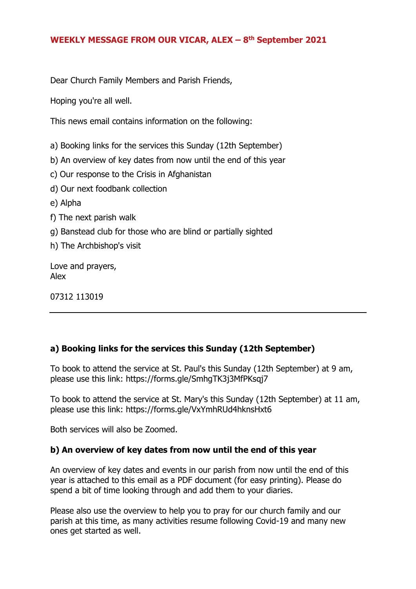#### **WEEKLY MESSAGE FROM OUR VICAR, ALEX – 8 th September 2021**

Dear Church Family Members and Parish Friends,

Hoping you're all well.

This news email contains information on the following:

a) Booking links for the services this Sunday (12th September)

- b) An overview of key dates from now until the end of this year
- c) Our response to the Crisis in Afghanistan
- d) Our next foodbank collection
- e) Alpha
- f) The next parish walk
- g) Banstead club for those who are blind or partially sighted
- h) The Archbishop's visit

Love and prayers, Alex

07312 113019

# **a) Booking links for the services this Sunday (12th September)**

To book to attend the service at St. Paul's this Sunday (12th September) at 9 am, please use this link: https://forms.gle/SmhgTK3j3MfPKsqj7

To book to attend the service at St. Mary's this Sunday (12th September) at 11 am, please use this link: https://forms.gle/VxYmhRUd4hknsHxt6

Both services will also be Zoomed.

# **b) An overview of key dates from now until the end of this year**

An overview of key dates and events in our parish from now until the end of this year is attached to this email as a PDF document (for easy printing). Please do spend a bit of time looking through and add them to your diaries.

Please also use the overview to help you to pray for our church family and our parish at this time, as many activities resume following Covid-19 and many new ones get started as well.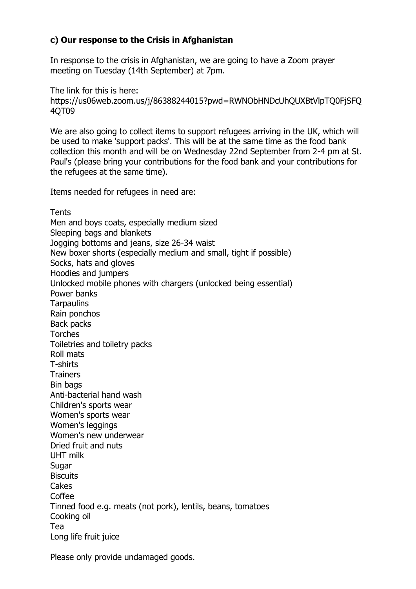# **c) Our response to the Crisis in Afghanistan**

In response to the crisis in Afghanistan, we are going to have a Zoom prayer meeting on Tuesday (14th September) at 7pm.

The link for this is here: https://us06web.zoom.us/j/86388244015?pwd=RWNObHNDcUhQUXBtVlpTQ0FjSFQ 4QT09

We are also going to collect items to support refugees arriving in the UK, which will be used to make 'support packs'. This will be at the same time as the food bank collection this month and will be on Wednesday 22nd September from 2-4 pm at St. Paul's (please bring your contributions for the food bank and your contributions for the refugees at the same time).

Items needed for refugees in need are:

**Tents** Men and boys coats, especially medium sized Sleeping bags and blankets Jogging bottoms and jeans, size 26-34 waist New boxer shorts (especially medium and small, tight if possible) Socks, hats and gloves Hoodies and jumpers Unlocked mobile phones with chargers (unlocked being essential) Power banks **Tarpaulins** Rain ponchos Back packs Torches Toiletries and toiletry packs Roll mats T-shirts **Trainers** Bin bags Anti-bacterial hand wash Children's sports wear Women's sports wear Women's leggings Women's new underwear Dried fruit and nuts UHT milk **Sugar Biscuits Cakes** Coffee Tinned food e.g. meats (not pork), lentils, beans, tomatoes Cooking oil Tea Long life fruit juice

Please only provide undamaged goods.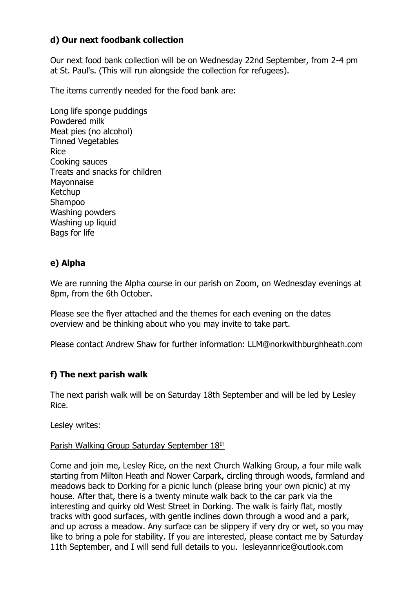## **d) Our next foodbank collection**

Our next food bank collection will be on Wednesday 22nd September, from 2-4 pm at St. Paul's. (This will run alongside the collection for refugees).

The items currently needed for the food bank are:

Long life sponge puddings Powdered milk Meat pies (no alcohol) Tinned Vegetables Rice Cooking sauces Treats and snacks for children Mayonnaise Ketchup Shampoo Washing powders Washing up liquid Bags for life

## **e) Alpha**

We are running the Alpha course in our parish on Zoom, on Wednesday evenings at 8pm, from the 6th October.

Please see the flyer attached and the themes for each evening on the dates overview and be thinking about who you may invite to take part.

Please contact Andrew Shaw for further information: LLM@norkwithburghheath.com

# **f) The next parish walk**

The next parish walk will be on Saturday 18th September and will be led by Lesley Rice.

Lesley writes:

#### Parish Walking Group Saturday September 18th

Come and join me, Lesley Rice, on the next Church Walking Group, a four mile walk starting from Milton Heath and Nower Carpark, circling through woods, farmland and meadows back to Dorking for a picnic lunch (please bring your own picnic) at my house. After that, there is a twenty minute walk back to the car park via the interesting and quirky old West Street in Dorking. The walk is fairly flat, mostly tracks with good surfaces, with gentle inclines down through a wood and a park, and up across a meadow. Any surface can be slippery if very dry or wet, so you may like to bring a pole for stability. If you are interested, please contact me by Saturday 11th September, and I will send full details to you. lesleyannrice@outlook.com